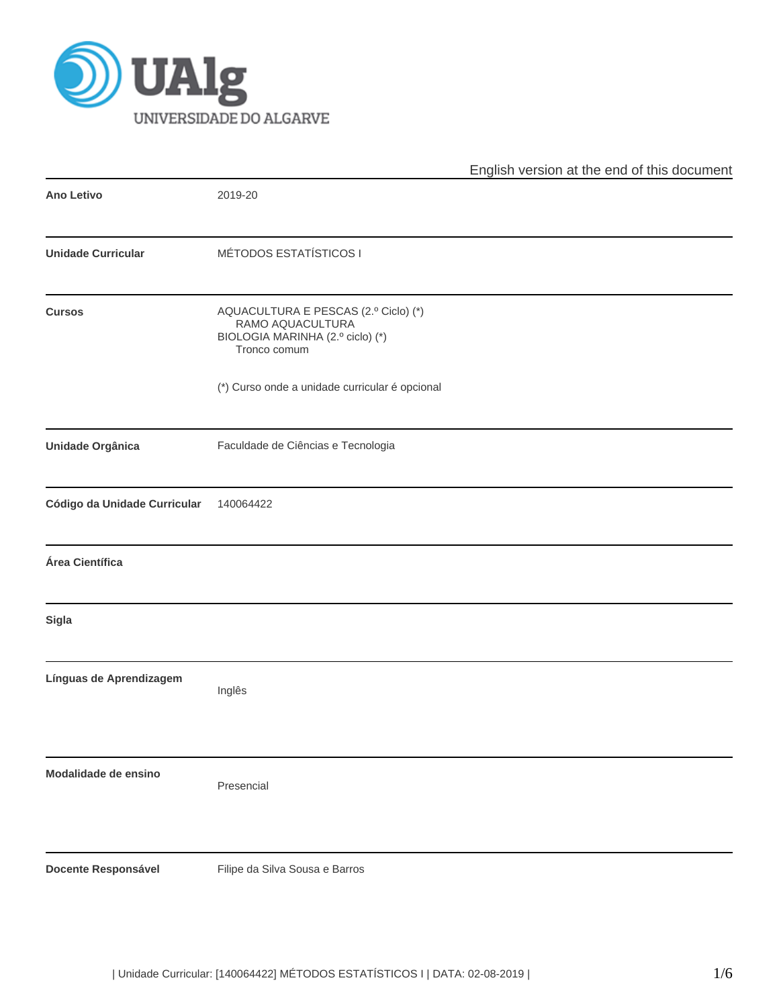

|                              |                                                                                                              | English version at the end of this document |
|------------------------------|--------------------------------------------------------------------------------------------------------------|---------------------------------------------|
| <b>Ano Letivo</b>            | 2019-20                                                                                                      |                                             |
| <b>Unidade Curricular</b>    | <b>MÉTODOS ESTATÍSTICOS I</b>                                                                                |                                             |
| <b>Cursos</b>                | AQUACULTURA E PESCAS (2.º Ciclo) (*)<br>RAMO AQUACULTURA<br>BIOLOGIA MARINHA (2.º ciclo) (*)<br>Tronco comum |                                             |
|                              | (*) Curso onde a unidade curricular é opcional                                                               |                                             |
| Unidade Orgânica             | Faculdade de Ciências e Tecnologia                                                                           |                                             |
| Código da Unidade Curricular | 140064422                                                                                                    |                                             |
| Área Científica              |                                                                                                              |                                             |
| <b>Sigla</b>                 |                                                                                                              |                                             |
| Línguas de Aprendizagem      | Inglês                                                                                                       |                                             |
| Modalidade de ensino         | Presencial                                                                                                   |                                             |
| Docente Responsável          | Filipe da Silva Sousa e Barros                                                                               |                                             |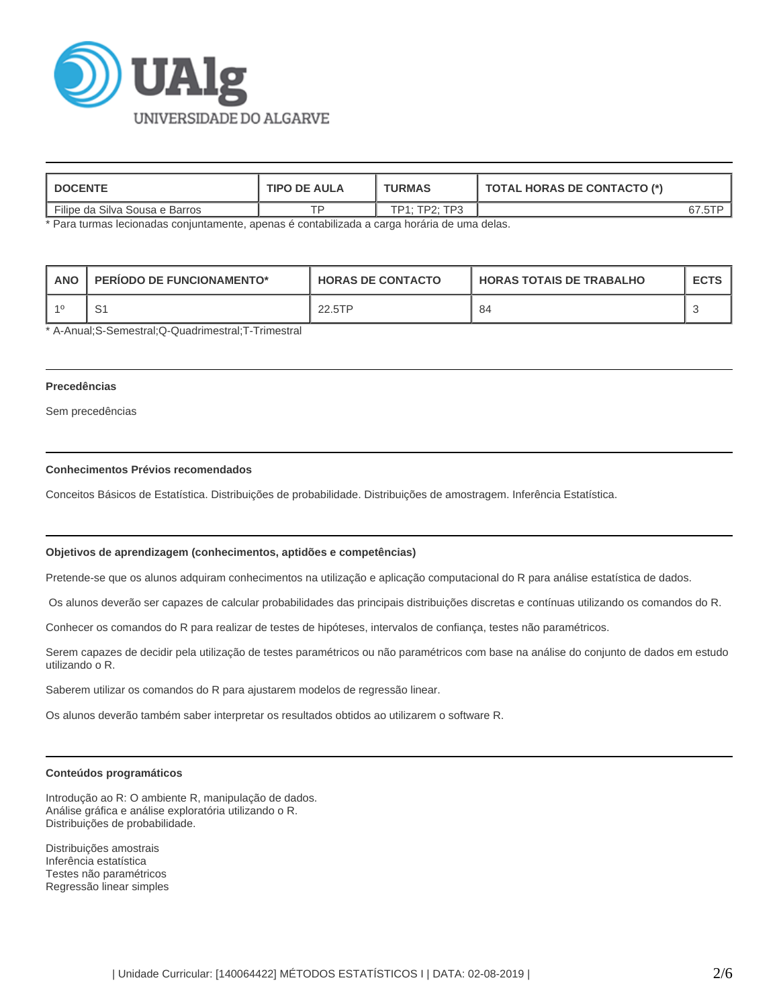

| <b>DOCENTE</b>                 | <b>TIPO DE AULA</b> | <b>TURMAS</b> | TOTAL HORAS DE CONTACTO (*) |  |  |
|--------------------------------|---------------------|---------------|-----------------------------|--|--|
| Filipe da Silva Sousa e Barros | TD.                 | TP1: TP2: TP3 |                             |  |  |

\* Para turmas lecionadas conjuntamente, apenas é contabilizada a carga horária de uma delas.

| l ANO | <b>PERIODO DE FUNCIONAMENTO*</b> | <b>HORAS DE CONTACTO</b> | <b>HORAS TOTAIS DE TRABALHO</b> | <b>ECTS</b> |
|-------|----------------------------------|--------------------------|---------------------------------|-------------|
|       |                                  | 22.5TP                   | 84                              |             |

\* A-Anual;S-Semestral;Q-Quadrimestral;T-Trimestral

## **Precedências**

Sem precedências

## **Conhecimentos Prévios recomendados**

Conceitos Básicos de Estatística. Distribuições de probabilidade. Distribuições de amostragem. Inferência Estatística.

#### **Objetivos de aprendizagem (conhecimentos, aptidões e competências)**

Pretende-se que os alunos adquiram conhecimentos na utilização e aplicação computacional do R para análise estatística de dados.

Os alunos deverão ser capazes de calcular probabilidades das principais distribuições discretas e contínuas utilizando os comandos do R.

Conhecer os comandos do R para realizar de testes de hipóteses, intervalos de confiança, testes não paramétricos.

Serem capazes de decidir pela utilização de testes paramétricos ou não paramétricos com base na análise do conjunto de dados em estudo utilizando o R.

Saberem utilizar os comandos do R para ajustarem modelos de regressão linear.

Os alunos deverão também saber interpretar os resultados obtidos ao utilizarem o software R.

#### **Conteúdos programáticos**

Introdução ao R: O ambiente R, manipulação de dados. Análise gráfica e análise exploratória utilizando o R. Distribuições de probabilidade.

Distribuições amostrais Inferência estatística Testes não paramétricos Regressão linear simples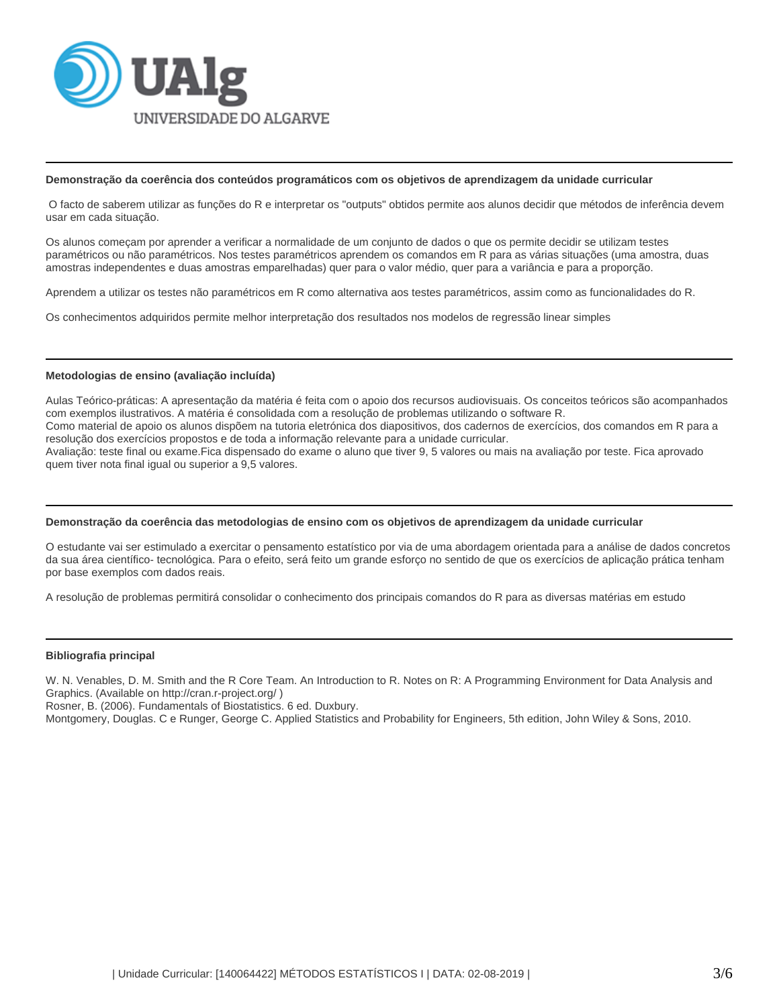

#### **Demonstração da coerência dos conteúdos programáticos com os objetivos de aprendizagem da unidade curricular**

 O facto de saberem utilizar as funções do R e interpretar os "outputs" obtidos permite aos alunos decidir que métodos de inferência devem usar em cada situação.

Os alunos começam por aprender a verificar a normalidade de um conjunto de dados o que os permite decidir se utilizam testes paramétricos ou não paramétricos. Nos testes paramétricos aprendem os comandos em R para as várias situações (uma amostra, duas amostras independentes e duas amostras emparelhadas) quer para o valor médio, quer para a variância e para a proporção.

Aprendem a utilizar os testes não paramétricos em R como alternativa aos testes paramétricos, assim como as funcionalidades do R.

Os conhecimentos adquiridos permite melhor interpretação dos resultados nos modelos de regressão linear simples

#### **Metodologias de ensino (avaliação incluída)**

Aulas Teórico-práticas: A apresentação da matéria é feita com o apoio dos recursos audiovisuais. Os conceitos teóricos são acompanhados com exemplos ilustrativos. A matéria é consolidada com a resolução de problemas utilizando o software R. Como material de apoio os alunos dispõem na tutoria eletrónica dos diapositivos, dos cadernos de exercícios, dos comandos em R para a resolução dos exercícios propostos e de toda a informação relevante para a unidade curricular.

Avaliação: teste final ou exame.Fica dispensado do exame o aluno que tiver 9, 5 valores ou mais na avaliação por teste. Fica aprovado quem tiver nota final igual ou superior a 9,5 valores.

#### **Demonstração da coerência das metodologias de ensino com os objetivos de aprendizagem da unidade curricular**

O estudante vai ser estimulado a exercitar o pensamento estatístico por via de uma abordagem orientada para a análise de dados concretos da sua área científico- tecnológica. Para o efeito, será feito um grande esforço no sentido de que os exercícios de aplicação prática tenham por base exemplos com dados reais.

A resolução de problemas permitirá consolidar o conhecimento dos principais comandos do R para as diversas matérias em estudo

#### **Bibliografia principal**

W. N. Venables, D. M. Smith and the R Core Team. An Introduction to R. Notes on R: A Programming Environment for Data Analysis and Graphics. (Available on http://cran.r-project.org/ )

Rosner, B. (2006). Fundamentals of Biostatistics. 6 ed. Duxbury.

Montgomery, Douglas. C e Runger, George C. Applied Statistics and Probability for Engineers, 5th edition, John Wiley & Sons, 2010.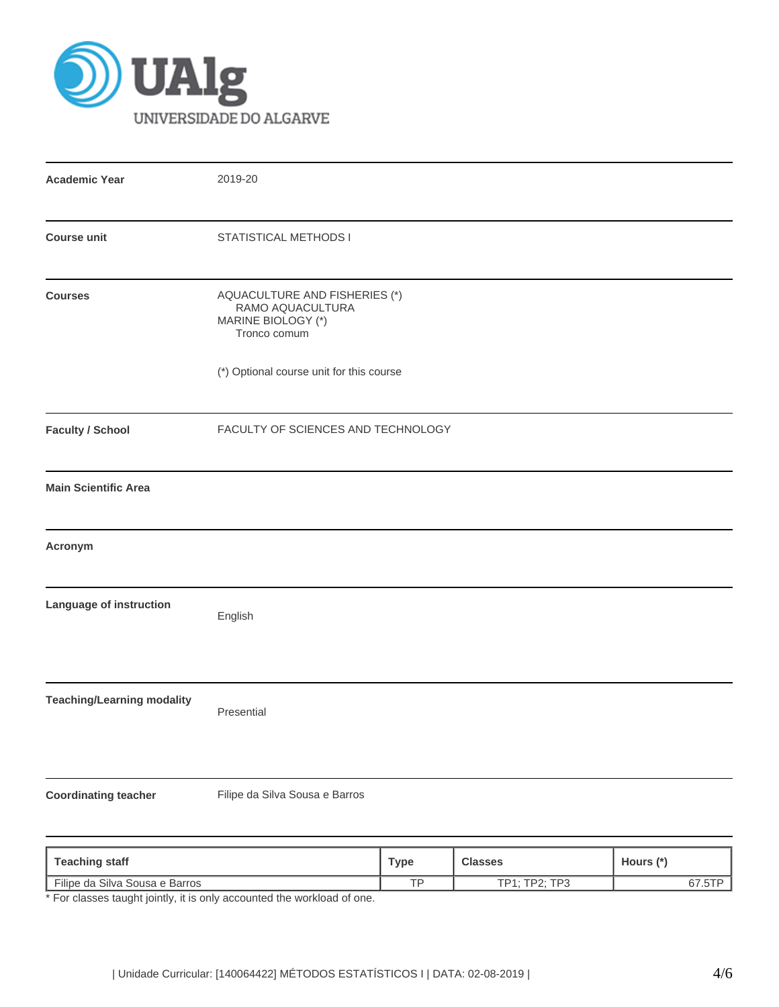

| <b>Academic Year</b>                                          | 2019-20                                                                                 |  |  |  |
|---------------------------------------------------------------|-----------------------------------------------------------------------------------------|--|--|--|
| <b>Course unit</b>                                            | STATISTICAL METHODS I                                                                   |  |  |  |
| <b>Courses</b>                                                | AQUACULTURE AND FISHERIES (*)<br>RAMO AQUACULTURA<br>MARINE BIOLOGY (*)<br>Tronco comum |  |  |  |
|                                                               | (*) Optional course unit for this course                                                |  |  |  |
| <b>Faculty / School</b><br>FACULTY OF SCIENCES AND TECHNOLOGY |                                                                                         |  |  |  |
| <b>Main Scientific Area</b>                                   |                                                                                         |  |  |  |
| Acronym                                                       |                                                                                         |  |  |  |
| Language of instruction                                       | English                                                                                 |  |  |  |
| <b>Teaching/Learning modality</b>                             | Presential                                                                              |  |  |  |
| <b>Coordinating teacher</b>                                   | Filipe da Silva Sousa e Barros                                                          |  |  |  |

| <b>Teaching staff</b>          | Type      | <b>Classes</b>                     | Hours (* |
|--------------------------------|-----------|------------------------------------|----------|
| Filipe da Silva Sousa e Barros | <b>TD</b> | $\cdot$ TD $\sim$<br>TD4.5<br>- רם | $-1$     |

\* For classes taught jointly, it is only accounted the workload of one.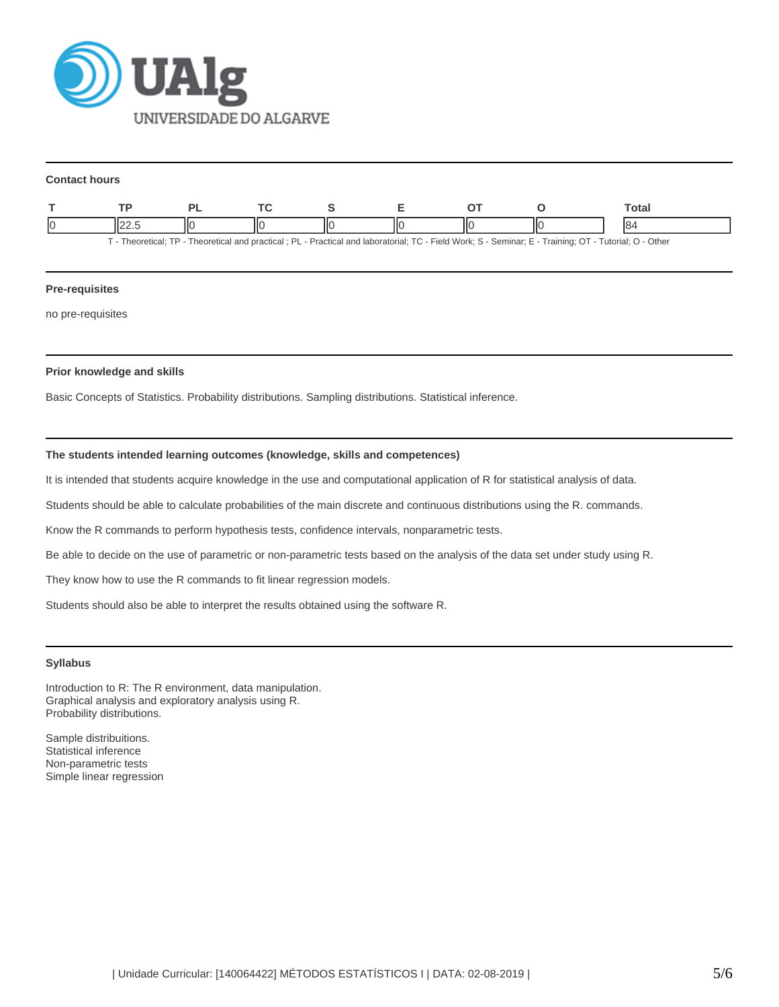

#### **Contact hours**

|                                                                                                                                                            |  |  |  |  |  |  |    | ™otal |
|------------------------------------------------------------------------------------------------------------------------------------------------------------|--|--|--|--|--|--|----|-------|
| C                                                                                                                                                          |  |  |  |  |  |  | IЮ | 184   |
| - Practical and laboratorial: TC - Field Work: S - Seminar: E - Training: OT - Tutorial: O - Other<br>- Theoretical: TP - Theoretical and practical : PL - |  |  |  |  |  |  |    |       |

## **Pre-requisites**

no pre-requisites

# **Prior knowledge and skills**

Basic Concepts of Statistics. Probability distributions. Sampling distributions. Statistical inference.

# **The students intended learning outcomes (knowledge, skills and competences)**

It is intended that students acquire knowledge in the use and computational application of R for statistical analysis of data.

Students should be able to calculate probabilities of the main discrete and continuous distributions using the R. commands.

Know the R commands to perform hypothesis tests, confidence intervals, nonparametric tests.

Be able to decide on the use of parametric or non-parametric tests based on the analysis of the data set under study using R.

They know how to use the R commands to fit linear regression models.

Students should also be able to interpret the results obtained using the software R.

# **Syllabus**

Introduction to R: The R environment, data manipulation. Graphical analysis and exploratory analysis using R. Probability distributions.

Sample distribuitions. Statistical inference Non-parametric tests Simple linear regression